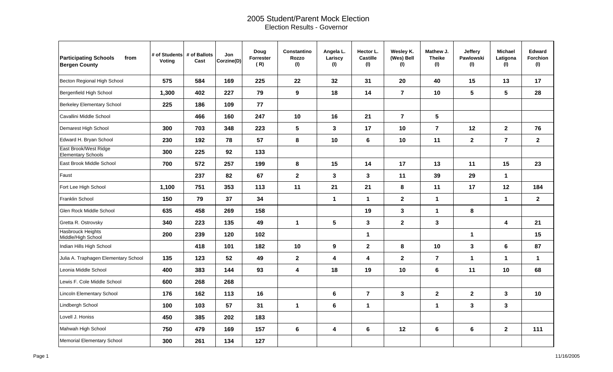## 2005 Student/Parent Mock Election Election Results - Governor

| <b>Participating Schools</b><br>from<br><b>Bergen County</b> | # of Students # of Ballots<br>Voting | Cast | Jon<br>Corzine(D) | Doug<br>Forrester<br>(R) | <b>Constantino</b><br>Rozzo<br>(1) | Angela L.<br>Lariscy<br>(1) | Hector L.<br><b>Castille</b><br>(1) | Wesley K.<br>(Wes) Bell<br>(1) | Mathew J.<br><b>Theike</b><br>(1) | Jeffery<br><b>Pawlowski</b><br>(1) | <b>Michael</b><br>Latigona<br>(1) | Edward<br>Forchion<br>(1) |
|--------------------------------------------------------------|--------------------------------------|------|-------------------|--------------------------|------------------------------------|-----------------------------|-------------------------------------|--------------------------------|-----------------------------------|------------------------------------|-----------------------------------|---------------------------|
| Becton Regional High School                                  | 575                                  | 584  | 169               | 225                      | 22                                 | 32                          | 31                                  | 20                             | 40                                | 15                                 | 13                                | 17                        |
| Bergenfield High School                                      | 1,300                                | 402  | 227               | 79                       | 9                                  | 18                          | 14                                  | $\overline{\mathbf{r}}$        | 10                                | 5                                  | 5                                 | 28                        |
| Berkeley Elementary School                                   | 225                                  | 186  | 109               | ${\bf 77}$               |                                    |                             |                                     |                                |                                   |                                    |                                   |                           |
| Cavallini Middle School                                      |                                      | 466  | 160               | 247                      | 10                                 | 16                          | 21                                  | $\overline{7}$                 | 5                                 |                                    |                                   |                           |
| Demarest High School                                         | 300                                  | 703  | 348               | 223                      | 5                                  | $\mathbf{3}$                | 17                                  | 10                             | $\overline{7}$                    | 12                                 | $\mathbf{2}$                      | 76                        |
| Edward H. Bryan School                                       | 230                                  | 192  | 78                | 57                       | 8                                  | 10                          | 6                                   | 10                             | 11                                | $\overline{2}$                     | $\overline{7}$                    | $\mathbf{2}$              |
| East Brook/West Ridge<br><b>Elementary Schools</b>           | 300                                  | 225  | 92                | 133                      |                                    |                             |                                     |                                |                                   |                                    |                                   |                           |
| East Brook Middle School                                     | 700                                  | 572  | 257               | 199                      | 8                                  | 15                          | 14                                  | 17                             | 13                                | 11                                 | 15                                | 23                        |
| Faust                                                        |                                      | 237  | 82                | 67                       | $\mathbf 2$                        | $\mathbf{3}$                | $\mathbf{3}$                        | 11                             | 39                                | 29                                 | $\mathbf{1}$                      |                           |
| Fort Lee High School                                         | 1,100                                | 751  | 353               | 113                      | 11                                 | 21                          | 21                                  | 8                              | 11                                | 17                                 | 12                                | 184                       |
| Franklin School                                              | 150                                  | 79   | 37                | 34                       |                                    | $\mathbf 1$                 | $\mathbf{1}$                        | $\mathbf{2}$                   | $\mathbf 1$                       |                                    | $\mathbf{1}$                      | $\mathbf{2}$              |
| Glen Rock Middle School                                      | 635                                  | 458  | 269               | 158                      |                                    |                             | 19                                  | $\mathbf{3}$                   | $\mathbf 1$                       | 8                                  |                                   |                           |
| Gretta R. Ostrovsky                                          | 340                                  | 223  | 135               | 49                       | $\mathbf{1}$                       | 5                           | 3                                   | $\overline{2}$                 | $\mathbf{3}$                      |                                    | $\boldsymbol{4}$                  | 21                        |
| <b>Hasbrouck Heights</b><br>Middle/High School               | 200                                  | 239  | 120               | 102                      |                                    |                             | 1                                   |                                |                                   | $\mathbf{1}$                       |                                   | 15                        |
| Indian Hills High School                                     |                                      | 418  | 101               | 182                      | 10                                 | $\boldsymbol{9}$            | $\mathbf{2}$                        | 8                              | 10                                | $\mathbf{3}$                       | $\bf 6$                           | 87                        |
| Julia A. Traphagen Elementary School                         | 135                                  | 123  | 52                | 49                       | $\mathbf 2$                        | 4                           | $\overline{\mathbf{4}}$             | $\overline{2}$                 | $\overline{7}$                    | $\mathbf 1$                        | $\mathbf{1}$                      | $\mathbf{1}$              |
| Leonia Middle School                                         | 400                                  | 383  | 144               | 93                       | $\overline{\mathbf{4}}$            | 18                          | 19                                  | 10                             | $6\phantom{1}$                    | 11                                 | 10                                | 68                        |
| Lewis F. Cole Middle School                                  | 600                                  | 268  | 268               |                          |                                    |                             |                                     |                                |                                   |                                    |                                   |                           |
| <b>Lincoln Elementary School</b>                             | 176                                  | 162  | 113               | 16                       |                                    | $6\phantom{1}$              | $\overline{7}$                      | $\mathbf{3}$                   | $\mathbf{2}$                      | $\mathbf{2}$                       | $\mathbf{3}$                      | 10                        |
| Lindbergh School                                             | 100                                  | 103  | 57                | 31                       | $\mathbf{1}$                       | 6                           | $\mathbf 1$                         |                                | $\mathbf 1$                       | $\mathbf{3}$                       | $\mathbf 3$                       |                           |
| Lovell J. Honiss                                             | 450                                  | 385  | 202               | 183                      |                                    |                             |                                     |                                |                                   |                                    |                                   |                           |
| Mahwah High School                                           | 750                                  | 479  | 169               | 157                      | 6                                  | 4                           | $\bf 6$                             | 12                             | 6                                 | 6                                  | $\mathbf{2}$                      | 111                       |
| Memorial Elementary School                                   | 300                                  | 261  | 134               | 127                      |                                    |                             |                                     |                                |                                   |                                    |                                   |                           |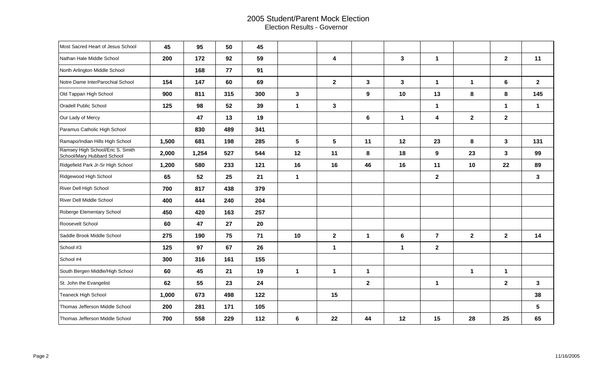## 2005 Student/Parent Mock Election Election Results - Governor

| Most Sacred Heart of Jesus School                              | 45    | 95    | 50  | 45  |                 |                |                  |              |                |              |                |                         |
|----------------------------------------------------------------|-------|-------|-----|-----|-----------------|----------------|------------------|--------------|----------------|--------------|----------------|-------------------------|
| Nathan Hale Middle School                                      | 200   | 172   | 92  | 59  |                 | 4              |                  | $\mathbf{3}$ | $\mathbf 1$    |              | $\overline{2}$ | 11                      |
| North Arlington Middle School                                  |       | 168   | 77  | 91  |                 |                |                  |              |                |              |                |                         |
| Notre Dame InterParochial School                               | 154   | 147   | 60  | 69  |                 | $\overline{2}$ | 3                | $\mathbf{3}$ | $\mathbf{1}$   | $\mathbf{1}$ | 6              | $\mathbf{2}$            |
| Old Tappan High School                                         | 900   | 811   | 315 | 300 | $\mathbf{3}$    |                | $\boldsymbol{9}$ | 10           | 13             | 8            | 8              | 145                     |
| Oradell Public School                                          | 125   | 98    | 52  | 39  | $\mathbf{1}$    | $\mathbf 3$    |                  |              | $\mathbf{1}$   |              | $\mathbf 1$    | $\mathbf 1$             |
| Our Lady of Mercy                                              |       | 47    | 13  | 19  |                 |                | $\bf 6$          | $\mathbf 1$  | 4              | $\mathbf{2}$ | $\mathbf{2}$   |                         |
| Paramus Catholic High School                                   |       | 830   | 489 | 341 |                 |                |                  |              |                |              |                |                         |
| Ramapo/Indian Hills High School                                | 1,500 | 681   | 198 | 285 | $5\phantom{.0}$ | 5              | 11               | 12           | 23             | 8            | $\mathbf{3}$   | 131                     |
| Ramsey High School/Eric S. Smith<br>School/Mary Hubbard School | 2,000 | 1,254 | 527 | 544 | 12              | 11             | 8                | 18           | 9              | 23           | $\mathbf{3}$   | 99                      |
| Ridgefield Park Jr-Sr High School                              | 1,200 | 580   | 233 | 121 | 16              | 16             | 46               | 16           | 11             | 10           | 22             | 89                      |
| Ridgewood High School                                          | 65    | 52    | 25  | 21  | $\mathbf 1$     |                |                  |              | $\mathbf{2}$   |              |                | $\mathbf{3}$            |
| River Dell High School                                         | 700   | 817   | 438 | 379 |                 |                |                  |              |                |              |                |                         |
| River Dell Middle School                                       | 400   | 444   | 240 | 204 |                 |                |                  |              |                |              |                |                         |
| Roberge Elementary School                                      | 450   | 420   | 163 | 257 |                 |                |                  |              |                |              |                |                         |
| Roosevelt School                                               | 60    | 47    | 27  | 20  |                 |                |                  |              |                |              |                |                         |
| Saddle Brook Middle School                                     | 275   | 190   | 75  | 71  | 10              | $\mathbf 2$    | 1                | $\bf 6$      | $\overline{7}$ | $\mathbf{2}$ | $\mathbf{2}$   | 14                      |
| School #3                                                      | 125   | 97    | 67  | 26  |                 | $\mathbf 1$    |                  | $\mathbf{1}$ | $\mathbf{2}$   |              |                |                         |
| School #4                                                      | 300   | 316   | 161 | 155 |                 |                |                  |              |                |              |                |                         |
| South Bergen Middle/High School                                | 60    | 45    | 21  | 19  | $\mathbf{1}$    | $\mathbf 1$    | $\mathbf{1}$     |              |                | $\mathbf 1$  | $\mathbf{1}$   |                         |
| St. John the Evangelist                                        | 62    | 55    | 23  | 24  |                 |                | $\mathbf{2}$     |              | $\mathbf{1}$   |              | $\mathbf{2}$   | $\mathbf{3}$            |
| Teaneck High School                                            | 1,000 | 673   | 498 | 122 |                 | 15             |                  |              |                |              |                | 38                      |
| Thomas Jefferson Middle School                                 | 200   | 281   | 171 | 105 |                 |                |                  |              |                |              |                | $\overline{\mathbf{5}}$ |
| Thomas Jefferson Middle School                                 | 700   | 558   | 229 | 112 | 6               | 22             | 44               | 12           | 15             | 28           | 25             | 65                      |